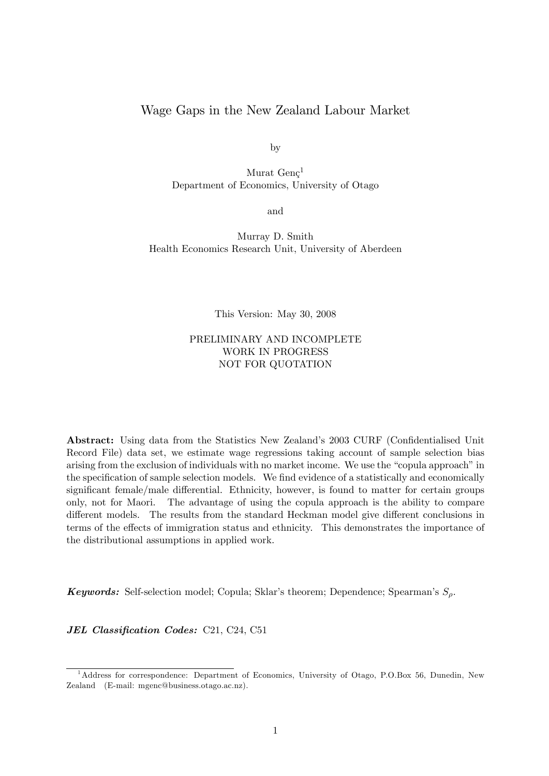# Wage Gaps in the New Zealand Labour Market

by

Murat  $Genc<sup>1</sup>$ Department of Economics, University of Otago

and

Murray D. Smith Health Economics Research Unit, University of Aberdeen

This Version: May 30, 2008

## PRELIMINARY AND INCOMPLETE WORK IN PROGRESS NOT FOR QUOTATION

Abstract: Using data from the Statistics New Zealand's 2003 CURF (Confidentialised Unit Record File) data set, we estimate wage regressions taking account of sample selection bias arising from the exclusion of individuals with no market income. We use the "copula approach" in the specification of sample selection models. We find evidence of a statistically and economically significant female/male differential. Ethnicity, however, is found to matter for certain groups only, not for Maori. The advantage of using the copula approach is the ability to compare different models. The results from the standard Heckman model give different conclusions in terms of the effects of immigration status and ethnicity. This demonstrates the importance of the distributional assumptions in applied work.

**Keywords:** Self-selection model; Copula; Sklar's theorem; Dependence; Spearman's  $S<sub>o</sub>$ .

JEL Classification Codes: C21, C24, C51

<sup>&</sup>lt;sup>1</sup>Address for correspondence: Department of Economics, University of Otago, P.O.Box 56, Dunedin, New Zealand (E-mail: mgenc@business.otago.ac.nz).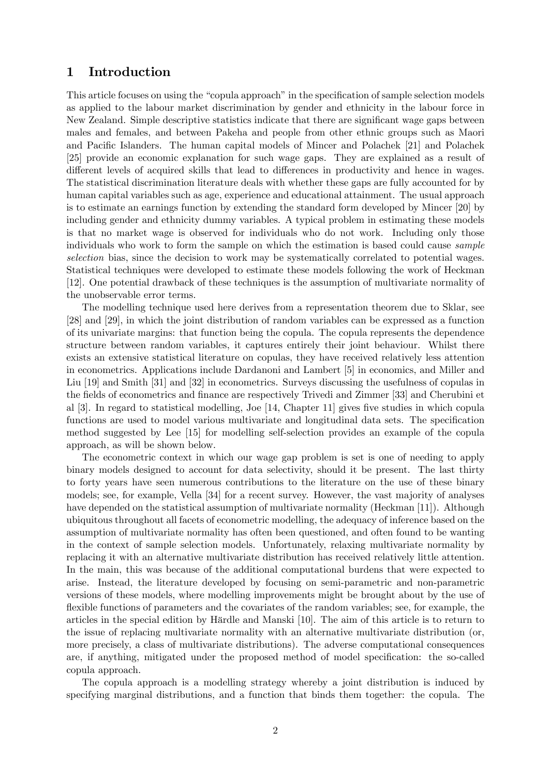# 1 Introduction

This article focuses on using the "copula approach" in the specification of sample selection models as applied to the labour market discrimination by gender and ethnicity in the labour force in New Zealand. Simple descriptive statistics indicate that there are significant wage gaps between males and females, and between Pakeha and people from other ethnic groups such as Maori and Pacific Islanders. The human capital models of Mincer and Polachek [21] and Polachek [25] provide an economic explanation for such wage gaps. They are explained as a result of different levels of acquired skills that lead to differences in productivity and hence in wages. The statistical discrimination literature deals with whether these gaps are fully accounted for by human capital variables such as age, experience and educational attainment. The usual approach is to estimate an earnings function by extending the standard form developed by Mincer [20] by including gender and ethnicity dummy variables. A typical problem in estimating these models is that no market wage is observed for individuals who do not work. Including only those individuals who work to form the sample on which the estimation is based could cause sample selection bias, since the decision to work may be systematically correlated to potential wages. Statistical techniques were developed to estimate these models following the work of Heckman [12]. One potential drawback of these techniques is the assumption of multivariate normality of the unobservable error terms.

The modelling technique used here derives from a representation theorem due to Sklar, see [28] and [29], in which the joint distribution of random variables can be expressed as a function of its univariate margins: that function being the copula. The copula represents the dependence structure between random variables, it captures entirely their joint behaviour. Whilst there exists an extensive statistical literature on copulas, they have received relatively less attention in econometrics. Applications include Dardanoni and Lambert [5] in economics, and Miller and Liu [19] and Smith [31] and [32] in econometrics. Surveys discussing the usefulness of copulas in the fields of econometrics and finance are respectively Trivedi and Zimmer [33] and Cherubini et al  $[3]$ . In regard to statistical modelling, Joe  $[14,$  Chapter 11] gives five studies in which copula functions are used to model various multivariate and longitudinal data sets. The specification method suggested by Lee [15] for modelling self-selection provides an example of the copula approach, as will be shown below.

The econometric context in which our wage gap problem is set is one of needing to apply binary models designed to account for data selectivity, should it be present. The last thirty to forty years have seen numerous contributions to the literature on the use of these binary models; see, for example, Vella [34] for a recent survey. However, the vast majority of analyses have depended on the statistical assumption of multivariate normality (Heckman [11]). Although ubiquitous throughout all facets of econometric modelling, the adequacy of inference based on the assumption of multivariate normality has often been questioned, and often found to be wanting in the context of sample selection models. Unfortunately, relaxing multivariate normality by replacing it with an alternative multivariate distribution has received relatively little attention. In the main, this was because of the additional computational burdens that were expected to arise. Instead, the literature developed by focusing on semi-parametric and non-parametric versions of these models, where modelling improvements might be brought about by the use of flexible functions of parameters and the covariates of the random variables; see, for example, the articles in the special edition by Härdle and Manski [10]. The aim of this article is to return to the issue of replacing multivariate normality with an alternative multivariate distribution (or, more precisely, a class of multivariate distributions). The adverse computational consequences are, if anything, mitigated under the proposed method of model specification: the so-called copula approach.

The copula approach is a modelling strategy whereby a joint distribution is induced by specifying marginal distributions, and a function that binds them together: the copula. The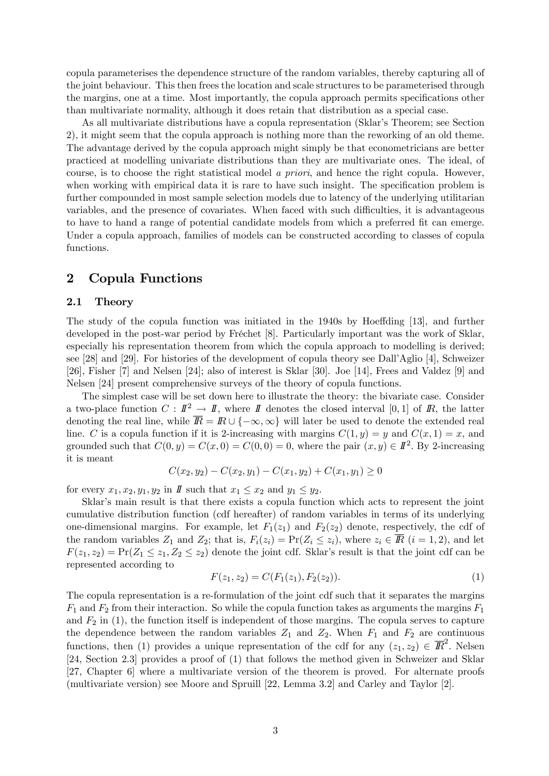copula parameterises the dependence structure of the random variables, thereby capturing all of the joint behaviour. This then frees the location and scale structures to be parameterised through the margins, one at a time. Most importantly, the copula approach permits specifications other than multivariate normality, although it does retain that distribution as a special case.

As all multivariate distributions have a copula representation (Sklar's Theorem; see Section 2), it might seem that the copula approach is nothing more than the reworking of an old theme. The advantage derived by the copula approach might simply be that econometricians are better practiced at modelling univariate distributions than they are multivariate ones. The ideal, of course, is to choose the right statistical model a priori, and hence the right copula. However, when working with empirical data it is rare to have such insight. The specification problem is further compounded in most sample selection models due to latency of the underlying utilitarian variables, and the presence of covariates. When faced with such difficulties, it is advantageous to have to hand a range of potential candidate models from which a preferred fit can emerge. Under a copula approach, families of models can be constructed according to classes of copula functions.

# 2 Copula Functions

### 2.1 Theory

The study of the copula function was initiated in the 1940s by Hoeffding [13], and further developed in the post-war period by Fréchet  $[8]$ . Particularly important was the work of Sklar, especially his representation theorem from which the copula approach to modelling is derived; see [28] and [29]. For histories of the development of copula theory see DallíAglio [4], Schweizer [26], Fisher [7] and Nelsen [24]; also of interest is Sklar [30]. Joe [14], Frees and Valdez [9] and Nelsen [24] present comprehensive surveys of the theory of copula functions.

The simplest case will be set down here to illustrate the theory: the bivariate case. Consider a two-place function  $C : I\!\!I^2 \to I\!\!I$ , where  $I\!\!I$  denotes the closed interval [0,1] of  $I\!\!R$ , the latter denoting the real line, while  $\overline{R} = R \cup \{-\infty, \infty\}$  will later be used to denote the extended real line. C is a copula function if it is 2-increasing with margins  $C(1, y) = y$  and  $C(x, 1) = x$ , and grounded such that  $C(0, y) = C(x, 0) = C(0, 0) = 0$ , where the pair  $(x, y) \in I\!\!I^2$ . By 2-increasing it is meant

$$
C(x_2, y_2) - C(x_2, y_1) - C(x_1, y_2) + C(x_1, y_1) \ge 0
$$

for every  $x_1, x_2, y_1, y_2$  in  $\mathbb{I}$  such that  $x_1 \leq x_2$  and  $y_1 \leq y_2$ .

Sklar's main result is that there exists a copula function which acts to represent the joint cumulative distribution function (cdf hereafter) of random variables in terms of its underlying one-dimensional margins. For example, let  $F_1(z_1)$  and  $F_2(z_2)$  denote, respectively, the cdf of the random variables  $Z_1$  and  $Z_2$ ; that is,  $F_i(z_i) = \Pr(Z_i \leq z_i)$ , where  $z_i \in \overline{R}$   $(i = 1, 2)$ , and let  $F(z_1, z_2) = Pr(Z_1 \leq z_1, Z_2 \leq z_2)$  denote the joint cdf. Sklar's result is that the joint cdf can be represented according to

$$
F(z_1, z_2) = C(F_1(z_1), F_2(z_2)).
$$
\n(1)

The copula representation is a re-formulation of the joint cdf such that it separates the margins  $F_1$  and  $F_2$  from their interaction. So while the copula function takes as arguments the margins  $F_1$ and  $F_2$  in (1), the function itself is independent of those margins. The copula serves to capture the dependence between the random variables  $Z_1$  and  $Z_2$ . When  $F_1$  and  $F_2$  are continuous functions, then (1) provides a unique representation of the cdf for any  $(z_1, z_2) \in \overline{I\!\!R}^2$ . Nelsen [24, Section 2.3] provides a proof of (1) that follows the method given in Schweizer and Sklar [27, Chapter 6] where a multivariate version of the theorem is proved. For alternate proofs (multivariate version) see Moore and Spruill [22, Lemma 3.2] and Carley and Taylor [2].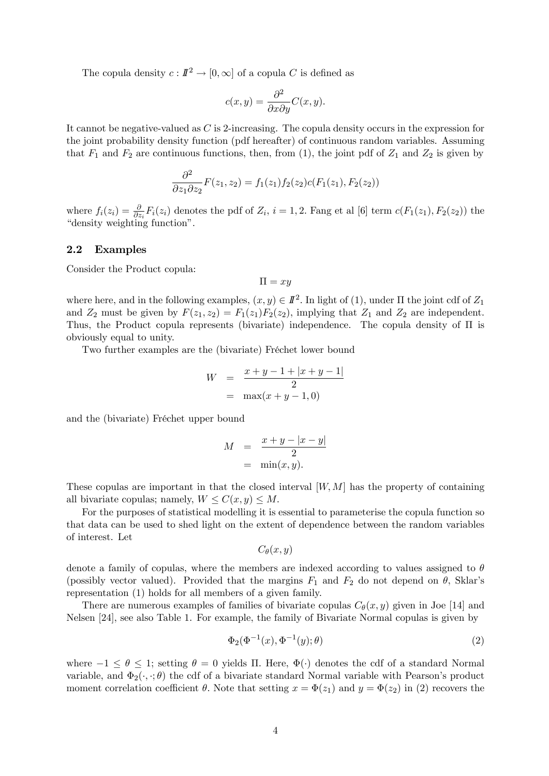The copula density  $c: I\!\!I^2 \to [0,\infty]$  of a copula C is defined as

$$
c(x,y) = \frac{\partial^2}{\partial x \partial y} C(x,y).
$$

It cannot be negative-valued as C is 2-increasing. The copula density occurs in the expression for the joint probability density function (pdf hereafter) of continuous random variables. Assuming that  $F_1$  and  $F_2$  are continuous functions, then, from (1), the joint pdf of  $Z_1$  and  $Z_2$  is given by

$$
\frac{\partial^2}{\partial z_1 \partial z_2} F(z_1, z_2) = f_1(z_1) f_2(z_2) c(F_1(z_1), F_2(z_2))
$$

where  $f_i(z_i) = \frac{\partial}{\partial z_i} F_i(z_i)$  denotes the pdf of  $Z_i$ ,  $i = 1, 2$ . Fang et al [6] term  $c(F_1(z_1), F_2(z_2))$  the "density weighting function".

### 2.2 Examples

Consider the Product copula:

$$
\Pi=xy
$$

where here, and in the following examples,  $(x, y) \in I\!\!I^2$ . In light of (1), under  $\Pi$  the joint cdf of  $Z_1$ and  $Z_2$  must be given by  $F(z_1, z_2) = F_1(z_1)F_2(z_2)$ , implying that  $Z_1$  and  $Z_2$  are independent. Thus, the Product copula represents (bivariate) independence. The copula density of  $\Pi$  is obviously equal to unity.

Two further examples are the (bivariate) Fréchet lower bound

$$
W = \frac{x+y-1+|x+y-1|}{2}
$$
  
= max(x+y-1,0)

and the (bivariate) Fréchet upper bound

$$
M = \frac{x + y - |x - y|}{2}
$$

$$
= \min(x, y).
$$

These copulas are important in that the closed interval  $[W, M]$  has the property of containing all bivariate copulas; namely,  $W \leq C(x, y) \leq M$ .

For the purposes of statistical modelling it is essential to parameterise the copula function so that data can be used to shed light on the extent of dependence between the random variables of interest. Let

$$
C_{\theta}(x,y)
$$

denote a family of copulas, where the members are indexed according to values assigned to  $\theta$ (possibly vector valued). Provided that the margins  $F_1$  and  $F_2$  do not depend on  $\theta$ , Sklar's representation (1) holds for all members of a given family.

There are numerous examples of families of bivariate copulas  $C_{\theta}(x, y)$  given in Joe [14] and Nelsen [24], see also Table 1. For example, the family of Bivariate Normal copulas is given by

$$
\Phi_2(\Phi^{-1}(x), \Phi^{-1}(y); \theta) \tag{2}
$$

where  $-1 \le \theta \le 1$ ; setting  $\theta = 0$  yields II. Here,  $\Phi(\cdot)$  denotes the cdf of a standard Normal variable, and  $\Phi_2(\cdot, \cdot; \theta)$  the cdf of a bivariate standard Normal variable with Pearson's product moment correlation coefficient  $\theta$ . Note that setting  $x = \Phi(z_1)$  and  $y = \Phi(z_2)$  in (2) recovers the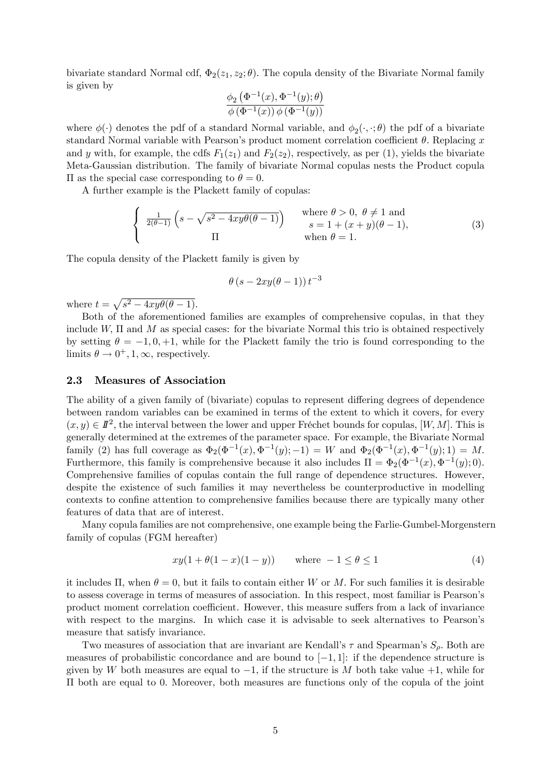bivariate standard Normal cdf,  $\Phi_2(z_1, z_2; \theta)$ . The copula density of the Bivariate Normal family is given by

$$
\frac{\phi_2\left(\Phi^{-1}(x), \Phi^{-1}(y); \theta\right)}{\phi\left(\Phi^{-1}(x)\right) \phi\left(\Phi^{-1}(y)\right)}
$$

where  $\phi(\cdot)$  denotes the pdf of a standard Normal variable, and  $\phi_2(\cdot, \cdot; \theta)$  the pdf of a bivariate standard Normal variable with Pearson's product moment correlation coefficient  $\theta$ . Replacing x and y with, for example, the cdfs  $F_1(z_1)$  and  $F_2(z_2)$ , respectively, as per (1), yields the bivariate Meta-Gaussian distribution. The family of bivariate Normal copulas nests the Product copula  $\Pi$  as the special case corresponding to  $\theta = 0$ .

A further example is the Plackett family of copulas:

$$
\begin{cases}\n\frac{1}{2(\theta-1)}\left(s-\sqrt{s^2-4xy\theta(\theta-1)}\right) & \text{where } \theta > 0, \ \theta \neq 1 \text{ and} \\
s = 1 + (x+y)(\theta-1), \\
\text{when } \theta = 1.\n\end{cases}
$$
\n(3)

The copula density of the Plackett family is given by

$$
\theta\left(s-2xy(\theta-1)\right)t^{-3}
$$

where  $t = \sqrt{s^2 - 4xy\theta(\theta - 1)}$ .

Both of the aforementioned families are examples of comprehensive copulas, in that they include  $W$ ,  $\Pi$  and  $M$  as special cases: for the bivariate Normal this trio is obtained respectively by setting  $\theta = -1, 0, +1$ , while for the Plackett family the trio is found corresponding to the limits  $\theta \to 0^+, 1, \infty$ , respectively.

### 2.3 Measures of Association

The ability of a given family of (bivariate) copulas to represent differing degrees of dependence between random variables can be examined in terms of the extent to which it covers, for every  $(x, y) \in I\!\!I^2$ , the interval between the lower and upper Fréchet bounds for copulas,  $[W, M]$ . This is generally determined at the extremes of the parameter space. For example, the Bivariate Normal family (2) has full coverage as  $\Phi_2(\Phi^{-1}(x), \Phi^{-1}(y); -1) = W$  and  $\Phi_2(\Phi^{-1}(x), \Phi^{-1}(y); 1) = M$ . Furthermore, this family is comprehensive because it also includes  $\Pi = \Phi_2(\Phi^{-1}(x), \Phi^{-1}(y); 0)$ . Comprehensive families of copulas contain the full range of dependence structures. However, despite the existence of such families it may nevertheless be counterproductive in modelling contexts to confine attention to comprehensive families because there are typically many other features of data that are of interest.

Many copula families are not comprehensive, one example being the Farlie-Gumbel-Morgenstern family of copulas (FGM hereafter)

$$
xy(1 + \theta(1 - x)(1 - y)) \quad \text{where } -1 \le \theta \le 1 \tag{4}
$$

it includes  $\Pi$ , when  $\theta = 0$ , but it fails to contain either W or M. For such families it is desirable to assess coverage in terms of measures of association. In this respect, most familiar is Pearsonís product moment correlation coefficient. However, this measure suffers from a lack of invariance with respect to the margins. In which case it is advisable to seek alternatives to Pearson's measure that satisfy invariance.

Two measures of association that are invariant are Kendall's  $\tau$  and Spearman's  $S_{\rho}$ . Both are measures of probabilistic concordance and are bound to  $[-1, 1]$ : if the dependence structure is given by W both measures are equal to  $-1$ , if the structure is M both take value  $+1$ , while for  $\Pi$  both are equal to 0. Moreover, both measures are functions only of the copula of the joint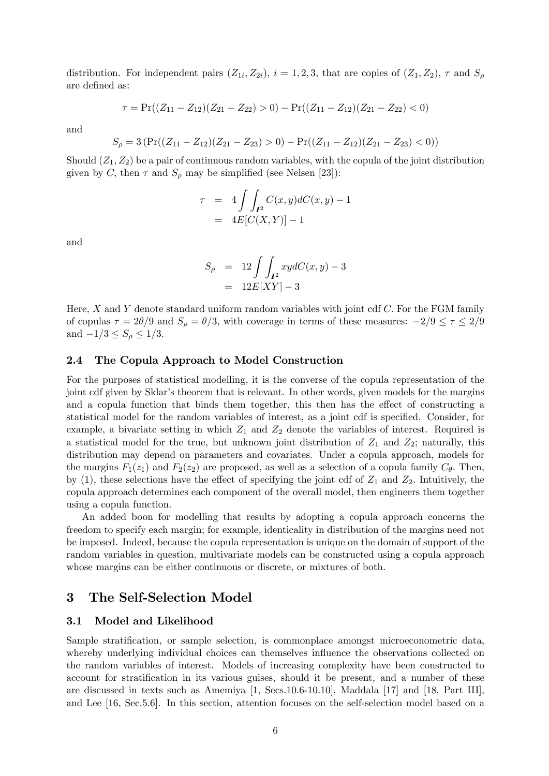distribution. For independent pairs  $(Z_{1i}, Z_{2i}), i = 1, 2, 3$ , that are copies of  $(Z_1, Z_2), \tau$  and  $S_\rho$ are defined as:

$$
\tau = \Pr((Z_{11} - Z_{12})(Z_{21} - Z_{22}) > 0) - \Pr((Z_{11} - Z_{12})(Z_{21} - Z_{22}) < 0)
$$

and

$$
S_{\rho} = 3\left(\Pr((Z_{11} - Z_{12})(Z_{21} - Z_{23}) > 0) - \Pr((Z_{11} - Z_{12})(Z_{21} - Z_{23}) < 0)\right)
$$

Should  $(Z_1, Z_2)$  be a pair of continuous random variables, with the copula of the joint distribution given by C, then  $\tau$  and  $S_\rho$  may be simplified (see Nelsen [23]):

$$
\tau = 4 \int \int_{I^2} C(x, y) dC(x, y) - 1
$$

$$
= 4E[C(X, Y)] - 1
$$

and

$$
S_{\rho} = 12 \int \int_{I^2} xy dC(x, y) - 3
$$

$$
= 12E[XY] - 3
$$

Here,  $X$  and  $Y$  denote standard uniform random variables with joint cdf  $C$ . For the FGM family of copulas  $\tau = 2\theta/9$  and  $S_\rho = \theta/3$ , with coverage in terms of these measures:  $-2/9 \le \tau \le 2/9$ and  $-1/3 \le S_\rho \le 1/3$ .

## 2.4 The Copula Approach to Model Construction

For the purposes of statistical modelling, it is the converse of the copula representation of the joint cdf given by Sklar's theorem that is relevant. In other words, given models for the margins and a copula function that binds them together, this then has the effect of constructing a statistical model for the random variables of interest, as a joint cdf is specified. Consider, for example, a bivariate setting in which  $Z_1$  and  $Z_2$  denote the variables of interest. Required is a statistical model for the true, but unknown joint distribution of  $Z_1$  and  $Z_2$ ; naturally, this distribution may depend on parameters and covariates. Under a copula approach, models for the margins  $F_1(z_1)$  and  $F_2(z_2)$  are proposed, as well as a selection of a copula family  $C_\theta$ . Then, by (1), these selections have the effect of specifying the joint cdf of  $Z_1$  and  $Z_2$ . Intuitively, the copula approach determines each component of the overall model, then engineers them together using a copula function.

An added boon for modelling that results by adopting a copula approach concerns the freedom to specify each margin; for example, identicality in distribution of the margins need not be imposed. Indeed, because the copula representation is unique on the domain of support of the random variables in question, multivariate models can be constructed using a copula approach whose margins can be either continuous or discrete, or mixtures of both.

## 3 The Self-Selection Model

### 3.1 Model and Likelihood

Sample stratification, or sample selection, is commonplace amongst microeconometric data, whereby underlying individual choices can themselves influence the observations collected on the random variables of interest. Models of increasing complexity have been constructed to account for stratification in its various guises, should it be present, and a number of these are discussed in texts such as Amemiya [1, Secs.10.6-10.10], Maddala [17] and [18, Part III], and Lee [16, Sec.5.6]. In this section, attention focuses on the self-selection model based on a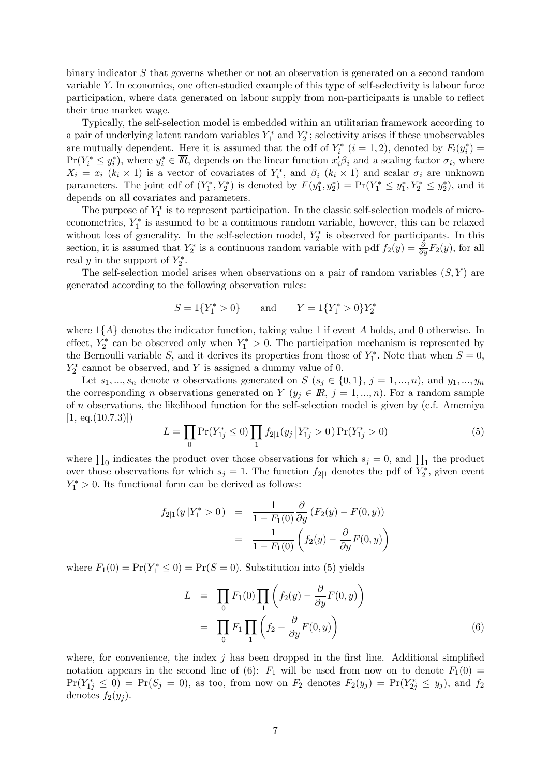binary indicator S that governs whether or not an observation is generated on a second random variable Y: In economics, one often-studied example of this type of self-selectivity is labour force participation, where data generated on labour supply from non-participants is unable to reflect their true market wage.

Typically, the self-selection model is embedded within an utilitarian framework according to a pair of underlying latent random variables  $Y_1^*$  and  $Y_2^*$ ; selectivity arises if these unobservables are mutually dependent. Here it is assumed that the cdf of  $Y_i^*$   $(i = 1, 2)$ , denoted by  $F_i(y_i^*) =$  $Pr(Y_i^* \leq y_i^*)$ , where  $y_i^* \in \mathbb{R}$ , depends on the linear function  $x_i' \beta_i$  and a scaling factor  $\sigma_i$ , where  $X_i = x_i$  ( $k_i \times 1$ ) is a vector of covariates of  $Y_i^*$ , and  $\beta_i$  ( $k_i \times 1$ ) and scalar  $\sigma_i$  are unknown parameters. The joint cdf of  $(Y_1^*, Y_2^*)$  is denoted by  $F(y_1^*, y_2^*) = \Pr(Y_1^* \le y_1^*, Y_2^* \le y_2^*)$ , and it depends on all covariates and parameters.

The purpose of  $Y_1^*$  is to represent participation. In the classic self-selection models of microeconometrics,  $Y_1^*$  is assumed to be a continuous random variable, however, this can be relaxed without loss of generality. In the self-selection model,  $Y_2^*$  is observed for participants. In this section, it is assumed that  $Y_2^*$  is a continuous random variable with pdf  $f_2(y) = \frac{\partial}{\partial y} F_2(y)$ , for all real y in the support of  $Y_2^*$ .

The self-selection model arises when observations on a pair of random variables  $(S, Y)$  are generated according to the following observation rules:

$$
S = 1\{Y_1^* > 0\} \qquad \text{and} \qquad Y = 1\{Y_1^* > 0\}Y_2^*
$$

where  $1\{A\}$  denotes the indicator function, taking value 1 if event A holds, and 0 otherwise. In effect,  $Y_2^*$  can be observed only when  $Y_1^* > 0$ . The participation mechanism is represented by the Bernoulli variable S, and it derives its properties from those of  $Y_1^*$ . Note that when  $S = 0$ ,  $Y_2^*$  cannot be observed, and Y is assigned a dummy value of 0.

Let  $s_1, ..., s_n$  denote n observations generated on  $S$   $(s_j \in \{0,1\}, j = 1,..., n)$ , and  $y_1, ..., y_n$ the corresponding n observations generated on  $Y$  ( $y_j \in \mathbb{R}, j = 1, ..., n$ ). For a random sample of n observations, the likelihood function for the self-selection model is given by (c.f. Amemiya  $[1, eq. (10.7.3)]$ 

$$
L = \prod_{0} \Pr(Y_{1j}^* \le 0) \prod_{1} f_{2|1}(y_j | Y_{1j}^* > 0) \Pr(Y_{1j}^* > 0)
$$
\n<sup>(5)</sup>

where  $\prod_0$  indicates the product over those observations for which  $s_j = 0$ , and  $\prod_1$  the product over those observations for which  $s_j = 1$ . The function  $f_{2|1}$  denotes the pdf of  $Y_2^*$ , given event  $Y_1^* > 0$ . Its functional form can be derived as follows:

$$
f_{2|1}(y|Y_1^* > 0) = \frac{1}{1 - F_1(0)} \frac{\partial}{\partial y} (F_2(y) - F(0, y))
$$
  
= 
$$
\frac{1}{1 - F_1(0)} \left( f_2(y) - \frac{\partial}{\partial y} F(0, y) \right)
$$

where  $F_1(0) = \Pr(Y_1^* \le 0) = \Pr(S = 0)$ . Substitution into (5) yields

$$
L = \prod_{0} F_1(0) \prod_{1} \left( f_2(y) - \frac{\partial}{\partial y} F(0, y) \right)
$$
  
= 
$$
\prod_{0} F_1 \prod_{1} \left( f_2 - \frac{\partial}{\partial y} F(0, y) \right)
$$
 (6)

where, for convenience, the index  $j$  has been dropped in the first line. Additional simplified notation appears in the second line of (6):  $F_1$  will be used from now on to denote  $F_1(0)$  $Pr(Y_{1j}^* \leq 0) = Pr(S_j = 0)$ , as too, from now on  $F_2$  denotes  $F_2(y_j) = Pr(Y_{2j}^* \leq y_j)$ , and  $f_2$ denotes  $f_2(y_i)$ .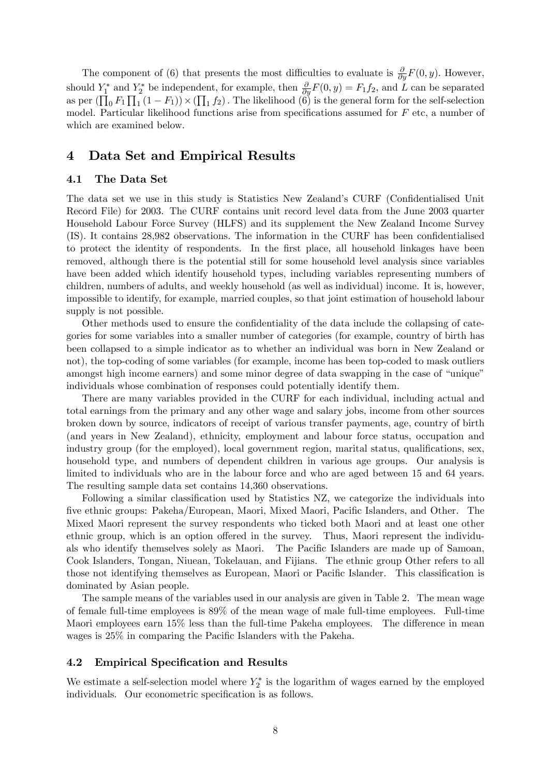The component of (6) that presents the most difficulties to evaluate is  $\frac{\partial}{\partial y}F(0, y)$ . However, should  $Y_1^*$  and  $Y_2^*$  be independent, for example, then  $\frac{\partial}{\partial y}F(0, y) = F_1 f_2$ , and L can be separated as per  $(\prod_0 F_1 \prod_1 (1 - F_1)) \times (\prod_1 f_2)$ . The likelihood  $(\overset{\sim}{6})$  is the general form for the self-selection model. Particular likelihood functions arise from specifications assumed for  $F$  etc, a number of which are examined below.

# 4 Data Set and Empirical Results

### 4.1 The Data Set

The data set we use in this study is Statistics New Zealand's CURF (Confidentialised Unit Record File) for 2003. The CURF contains unit record level data from the June 2003 quarter Household Labour Force Survey (HLFS) and its supplement the New Zealand Income Survey (IS). It contains 28,982 observations. The information in the CURF has been confidentialised to protect the identity of respondents. In the first place, all household linkages have been removed, although there is the potential still for some household level analysis since variables have been added which identify household types, including variables representing numbers of children, numbers of adults, and weekly household (as well as individual) income. It is, however, impossible to identify, for example, married couples, so that joint estimation of household labour supply is not possible.

Other methods used to ensure the confidentiality of the data include the collapsing of categories for some variables into a smaller number of categories (for example, country of birth has been collapsed to a simple indicator as to whether an individual was born in New Zealand or not), the top-coding of some variables (for example, income has been top-coded to mask outliers amongst high income earners) and some minor degree of data swapping in the case of "unique" individuals whose combination of responses could potentially identify them.

There are many variables provided in the CURF for each individual, including actual and total earnings from the primary and any other wage and salary jobs, income from other sources broken down by source, indicators of receipt of various transfer payments, age, country of birth (and years in New Zealand), ethnicity, employment and labour force status, occupation and industry group (for the employed), local government region, marital status, qualifications, sex, household type, and numbers of dependent children in various age groups. Our analysis is limited to individuals who are in the labour force and who are aged between 15 and 64 years. The resulting sample data set contains 14,360 observations.

Following a similar classification used by Statistics NZ, we categorize the individuals into five ethnic groups: Pakeha/European, Maori, Mixed Maori, Pacific Islanders, and Other. The Mixed Maori represent the survey respondents who ticked both Maori and at least one other ethnic group, which is an option offered in the survey. Thus, Maori represent the individuals who identify themselves solely as Maori. The Pacific Islanders are made up of Samoan, Cook Islanders, Tongan, Niuean, Tokelauan, and Fijians. The ethnic group Other refers to all those not identifying themselves as European, Maori or Pacific Islander. This classification is dominated by Asian people.

The sample means of the variables used in our analysis are given in Table 2. The mean wage of female full-time employees is 89% of the mean wage of male full-time employees. Full-time Maori employees earn  $15\%$  less than the full-time Pakeha employees. The difference in mean wages is  $25\%$  in comparing the Pacific Islanders with the Pakeha.

## 4.2 Empirical Specification and Results

We estimate a self-selection model where  $Y_2^*$  is the logarithm of wages earned by the employed individuals. Our econometric specification is as follows.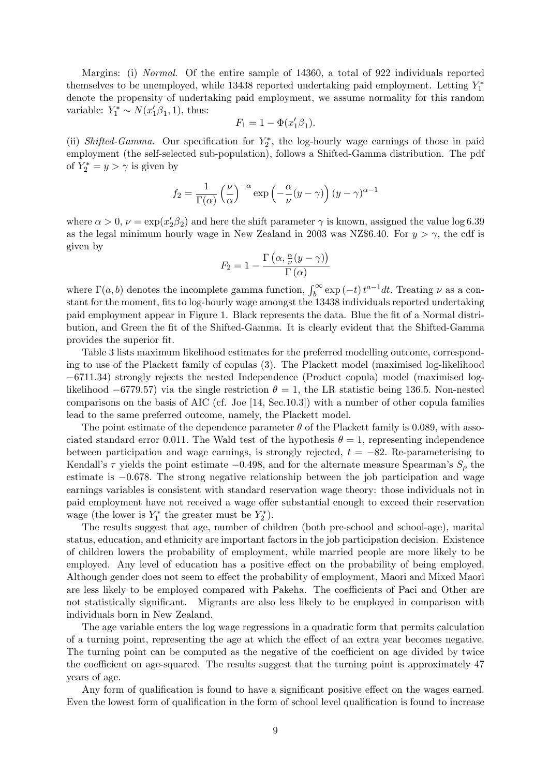Margins: (i) *Normal.* Of the entire sample of 14360, a total of 922 individuals reported themselves to be unemployed, while 13438 reported undertaking paid employment. Letting  $Y_1^*$ denote the propensity of undertaking paid employment, we assume normality for this random variable:  $Y_1^* \sim N(x_1'\beta_1, 1)$ , thus:

$$
F_1 = 1 - \Phi(x_1' \beta_1).
$$

(ii) Shifted-Gamma. Our specification for  $Y_2^*$ , the log-hourly wage earnings of those in paid employment (the self-selected sub-population), follows a Shifted-Gamma distribution. The pdf of  $Y_2^* = y > \gamma$  is given by

$$
f_2 = \frac{1}{\Gamma(\alpha)} \left(\frac{\nu}{\alpha}\right)^{-\alpha} \exp\left(-\frac{\alpha}{\nu}(y-\gamma)\right) (y-\gamma)^{\alpha-1}
$$

where  $\alpha > 0$ ,  $\nu = \exp(x_2/\beta_2)$  and here the shift parameter  $\gamma$  is known, assigned the value log 6.39 as the legal minimum hourly wage in New Zealand in 2003 was NZ\$6.40. For  $y > \gamma$ , the cdf is given by

$$
F_2 = 1 - \frac{\Gamma\left(\alpha, \frac{\alpha}{\nu}(y-\gamma)\right)}{\Gamma\left(\alpha\right)}
$$

where  $\Gamma(a, b)$  denotes the incomplete gamma function,  $\int_b^{\infty} \exp(-t) t^{a-1} dt$ . Treating  $\nu$  as a constant for the moment, fits to log-hourly wage amongst the 13438 individuals reported undertaking paid employment appear in Figure 1. Black represents the data. Blue the Öt of a Normal distribution, and Green the Öt of the Shifted-Gamma. It is clearly evident that the Shifted-Gamma provides the superior fit.

Table 3 lists maximum likelihood estimates for the preferred modelling outcome, corresponding to use of the Plackett family of copulas (3). The Plackett model (maximised log-likelihood 6711:34) strongly rejects the nested Independence (Product copula) model (maximised loglikelihood  $-6779.57$  via the single restriction  $\theta = 1$ , the LR statistic being 136.5. Non-nested comparisons on the basis of AIC (cf. Joe [14, Sec.10.3]) with a number of other copula families lead to the same preferred outcome, namely, the Plackett model.

The point estimate of the dependence parameter  $\theta$  of the Plackett family is 0.089, with associated standard error 0.011. The Wald test of the hypothesis  $\theta = 1$ , representing independence between participation and wage earnings, is strongly rejected,  $t = -82$ . Re-parameterising to Kendall's  $\tau$  yields the point estimate -0.498, and for the alternate measure Spearman's  $S_{\rho}$  the estimate is  $-0.678$ . The strong negative relationship between the job participation and wage earnings variables is consistent with standard reservation wage theory: those individuals not in paid employment have not received a wage offer substantial enough to exceed their reservation wage (the lower is  $Y_1^*$  the greater must be  $Y_2^*$ ).

The results suggest that age, number of children (both pre-school and school-age), marital status, education, and ethnicity are important factors in the job participation decision. Existence of children lowers the probability of employment, while married people are more likely to be employed. Any level of education has a positive effect on the probability of being employed. Although gender does not seem to effect the probability of employment, Maori and Mixed Maori are less likely to be employed compared with Pakeha. The coefficients of Paci and Other are not statistically significant. Migrants are also less likely to be employed in comparison with individuals born in New Zealand.

The age variable enters the log wage regressions in a quadratic form that permits calculation of a turning point, representing the age at which the effect of an extra year becomes negative. The turning point can be computed as the negative of the coefficient on age divided by twice the coefficient on age-squared. The results suggest that the turning point is approximately 47 years of age.

Any form of qualification is found to have a significant positive effect on the wages earned. Even the lowest form of qualification in the form of school level qualification is found to increase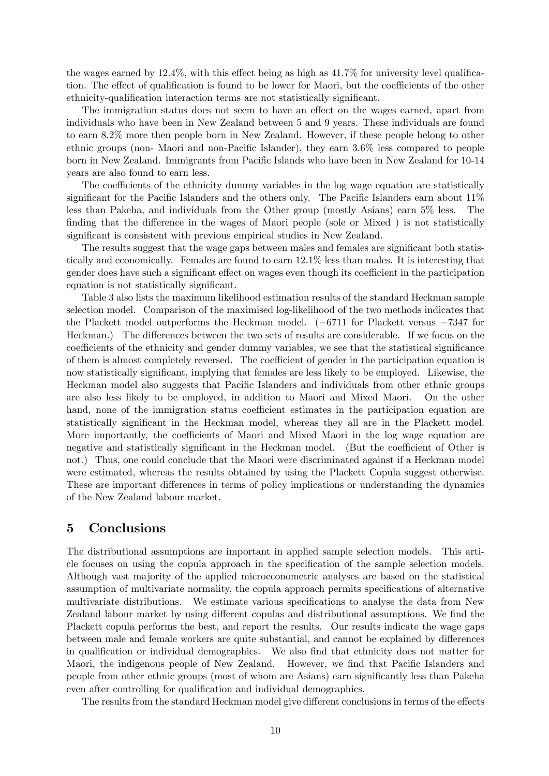the wages earned by  $12.4\%$ , with this effect being as high as  $41.7\%$  for university level qualification. The effect of qualification is found to be lower for Maori, but the coefficients of the other ethnicity-qualification interaction terms are not statistically significant.

The immigration status does not seem to have an effect on the wages earned, apart from individuals who have been in New Zealand between 5 and 9 years. These individuals are found to earn 8.2% more then people born in New Zealand. However, if these people belong to other ethnic groups (non-Maori and non-Pacific Islander), they earn  $3.6\%$  less compared to people born in New Zealand. Immigrants from Pacific Islands who have been in New Zealand for 10-14 years are also found to earn less.

The coefficients of the ethnicity dummy variables in the log wage equation are statistically significant for the Pacific Islanders and the others only. The Pacific Islanders earn about  $11\%$ less than Pakeha, and individuals from the Other group (mostly Asians) earn 5% less. The finding that the difference in the wages of Maori people (sole or Mixed) is not statistically significant is consistent with previous empirical studies in New Zealand.

The results suggest that the wage gaps between males and females are significant both statistically and economically. Females are found to earn 12.1% less than males. It is interesting that gender does have such a significant effect on wages even though its coefficient in the participation equation is not statistically significant.

Table 3 also lists the maximum likelihood estimation results of the standard Heckman sample selection model. Comparison of the maximised log-likelihood of the two methods indicates that the Plackett model outperforms the Heckman model.  $(-6711)$  for Plackett versus  $-7347$  for Heckman.) The differences between the two sets of results are considerable. If we focus on the coefficients of the ethnicity and gender dummy variables, we see that the statistical significance of them is almost completely reversed. The coefficient of gender in the participation equation is now statistically significant, implying that females are less likely to be employed. Likewise, the Heckman model also suggests that Pacific Islanders and individuals from other ethnic groups are also less likely to be employed, in addition to Maori and Mixed Maori. On the other hand, none of the immigration status coefficient estimates in the participation equation are statistically significant in the Heckman model, whereas they all are in the Plackett model. More importantly, the coefficients of Maori and Mixed Maori in the log wage equation are negative and statistically significant in the Heckman model. (But the coefficient of Other is not.) Thus, one could conclude that the Maori were discriminated against if a Heckman model were estimated, whereas the results obtained by using the Plackett Copula suggest otherwise. These are important differences in terms of policy implications or understanding the dynamics of the New Zealand labour market.

# 5 Conclusions

The distributional assumptions are important in applied sample selection models. This article focuses on using the copula approach in the specification of the sample selection models. Although vast majority of the applied microeconometric analyses are based on the statistical assumption of multivariate normality, the copula approach permits specifications of alternative multivariate distributions. We estimate various specifications to analyse the data from New Zealand labour market by using different copulas and distributional assumptions. We find the Plackett copula performs the best, and report the results. Our results indicate the wage gaps between male and female workers are quite substantial, and cannot be explained by differences in qualification or individual demographics. We also find that ethnicity does not matter for Maori, the indigenous people of New Zealand. However, we find that Pacific Islanders and people from other ethnic groups (most of whom are Asians) earn significantly less than Pakeha even after controlling for qualification and individual demographics.

The results from the standard Heckman model give different conclusions in terms of the effects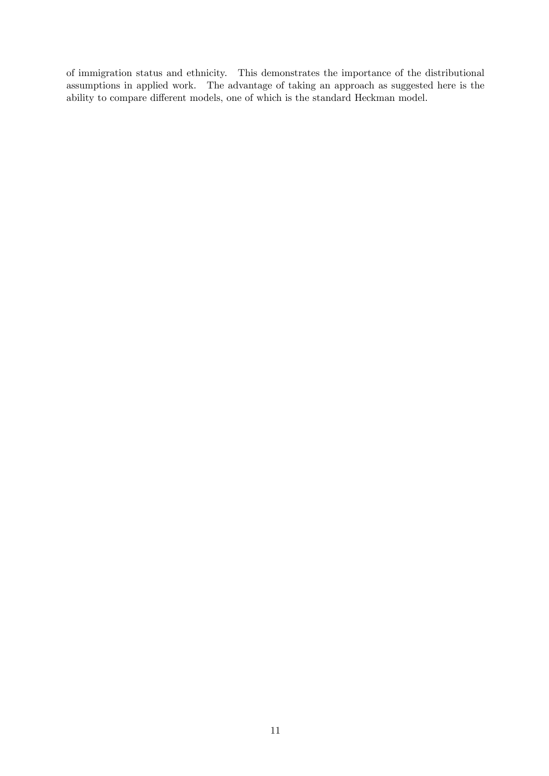of immigration status and ethnicity. This demonstrates the importance of the distributional assumptions in applied work. The advantage of taking an approach as suggested here is the ability to compare different models, one of which is the standard Heckman model.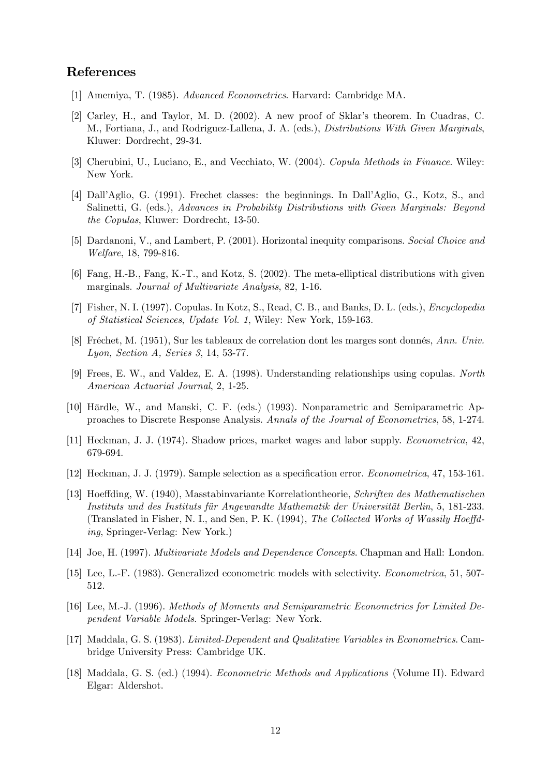## References

- [1] Amemiya, T. (1985). Advanced Econometrics. Harvard: Cambridge MA.
- [2] Carley, H., and Taylor, M. D. (2002). A new proof of Sklar's theorem. In Cuadras, C. M., Fortiana, J., and Rodriguez-Lallena, J. A. (eds.), Distributions With Given Marginals, Kluwer: Dordrecht, 29-34.
- [3] Cherubini, U., Luciano, E., and Vecchiato, W. (2004). Copula Methods in Finance. Wiley: New York.
- [4] Dall'Aglio, G. (1991). Frechet classes: the beginnings. In Dall'Aglio, G., Kotz, S., and Salinetti, G. (eds.), Advances in Probability Distributions with Given Marginals: Beyond the Copulas, Kluwer: Dordrecht, 13-50.
- [5] Dardanoni, V., and Lambert, P. (2001). Horizontal inequity comparisons. Social Choice and Welfare, 18, 799-816.
- [6] Fang, H.-B., Fang, K.-T., and Kotz, S. (2002). The meta-elliptical distributions with given marginals. Journal of Multivariate Analysis, 82, 1-16.
- [7] Fisher, N. I. (1997). Copulas. In Kotz, S., Read, C. B., and Banks, D. L. (eds.), Encyclopedia of Statistical Sciences, Update Vol. 1, Wiley: New York, 159-163.
- [8] Fréchet, M. (1951), Sur les tableaux de correlation dont les marges sont donnés, Ann. Univ. Lyon, Section A, Series 3, 14, 53-77.
- [9] Frees, E. W., and Valdez, E. A. (1998). Understanding relationships using copulas. North American Actuarial Journal, 2, 1-25.
- [10] Härdle, W., and Manski, C. F. (eds.) (1993). Nonparametric and Semiparametric Approaches to Discrete Response Analysis. Annals of the Journal of Econometrics, 58, 1-274.
- [11] Heckman, J. J. (1974). Shadow prices, market wages and labor supply. Econometrica, 42, 679-694.
- [12] Heckman, J. J. (1979). Sample selection as a specification error. *Econometrica*, 47, 153-161.
- [13] Hoeffding, W. (1940), Masstabinvariante Korrelationtheorie, Schriften des Mathematischen Instituts und des Instituts für Angewandte Mathematik der Universität Berlin, 5, 181-233. (Translated in Fisher, N. I., and Sen, P. K.  $(1994)$ , The Collected Works of Wassily Hoeffding, Springer-Verlag: New York.)
- [14] Joe, H. (1997). Multivariate Models and Dependence Concepts. Chapman and Hall: London.
- [15] Lee, L.-F. (1983). Generalized econometric models with selectivity. Econometrica, 51, 507- 512.
- [16] Lee, M.-J. (1996). Methods of Moments and Semiparametric Econometrics for Limited Dependent Variable Models. Springer-Verlag: New York.
- [17] Maddala, G. S. (1983). *Limited-Dependent and Qualitative Variables in Econometrics*. Cambridge University Press: Cambridge UK.
- [18] Maddala, G. S. (ed.) (1994). Econometric Methods and Applications (Volume II). Edward Elgar: Aldershot.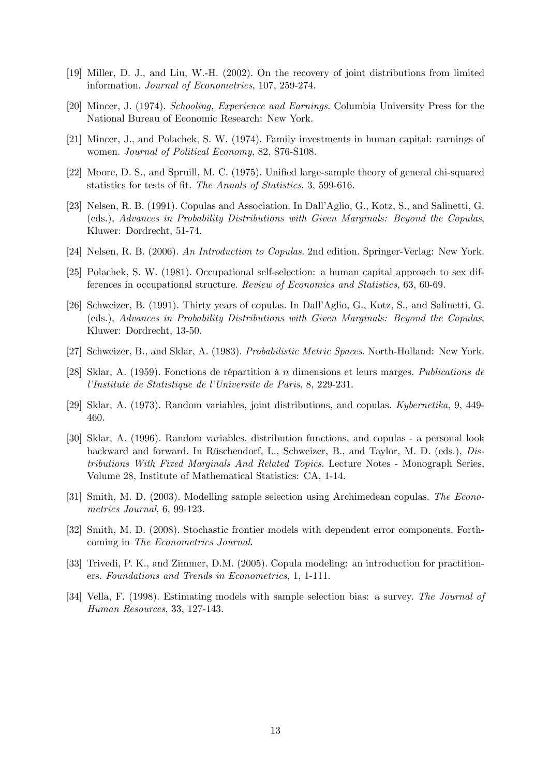- [19] Miller, D. J., and Liu, W.-H. (2002). On the recovery of joint distributions from limited information. Journal of Econometrics, 107, 259-274.
- [20] Mincer, J. (1974). Schooling, Experience and Earnings. Columbia University Press for the National Bureau of Economic Research: New York.
- [21] Mincer, J., and Polachek, S. W. (1974). Family investments in human capital: earnings of women. Journal of Political Economy, 82, S76-S108.
- [22] Moore, D. S., and Spruill, M. C. (1975). Unified large-sample theory of general chi-squared statistics for tests of fit. The Annals of Statistics, 3, 599-616.
- [23] Nelsen, R. B. (1991). Copulas and Association. In Dall'Aglio, G., Kotz, S., and Salinetti, G. (eds.), Advances in Probability Distributions with Given Marginals: Beyond the Copulas, Kluwer: Dordrecht, 51-74.
- [24] Nelsen, R. B. (2006). An Introduction to Copulas. 2nd edition. Springer-Verlag: New York.
- [25] Polachek, S. W. (1981). Occupational self-selection: a human capital approach to sex differences in occupational structure. Review of Economics and Statistics, 63, 60-69.
- [26] Schweizer, B. (1991). Thirty years of copulas. In DallíAglio, G., Kotz, S., and Salinetti, G. (eds.), Advances in Probability Distributions with Given Marginals: Beyond the Copulas, Kluwer: Dordrecht, 13-50.
- [27] Schweizer, B., and Sklar, A. (1983). Probabilistic Metric Spaces. North-Holland: New York.
- [28] Sklar, A. (1959). Fonctions de répartition à *n* dimensions et leurs marges. *Publications de* l'Institute de Statistique de l'Universite de Paris, 8, 229-231.
- [29] Sklar, A. (1973). Random variables, joint distributions, and copulas. Kybernetika, 9, 449- 460.
- [30] Sklar, A. (1996). Random variables, distribution functions, and copulas a personal look backward and forward. In Rüschendorf, L., Schweizer, B., and Taylor, M. D. (eds.), *Dis*tributions With Fixed Marginals And Related Topics. Lecture Notes - Monograph Series, Volume 28, Institute of Mathematical Statistics: CA, 1-14.
- [31] Smith, M. D. (2003). Modelling sample selection using Archimedean copulas. The Econometrics Journal, 6, 99-123.
- [32] Smith, M. D. (2008). Stochastic frontier models with dependent error components. Forthcoming in The Econometrics Journal.
- [33] Trivedi, P. K., and Zimmer, D.M. (2005). Copula modeling: an introduction for practitioners. Foundations and Trends in Econometrics, 1, 1-111.
- [34] Vella, F. (1998). Estimating models with sample selection bias: a survey. The Journal of Human Resources, 33, 127-143.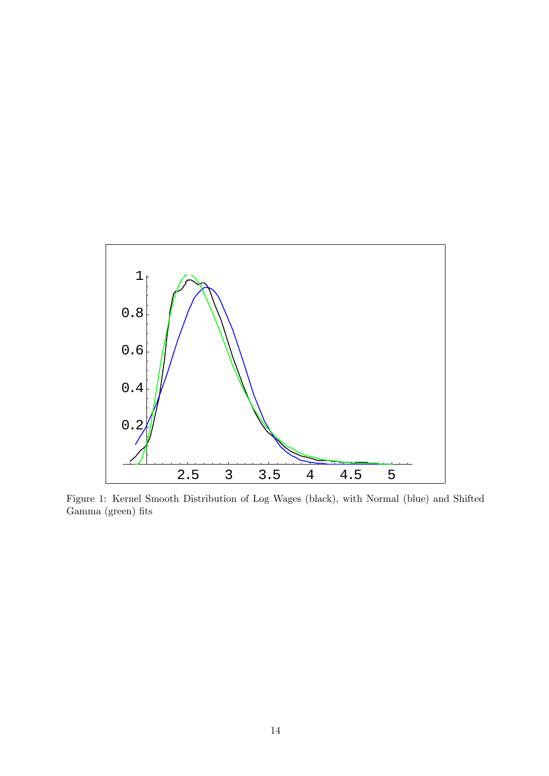

Figure 1: Kernel Smooth Distribution of Log Wages (black), with Normal (blue) and Shifted Gamma (green) fits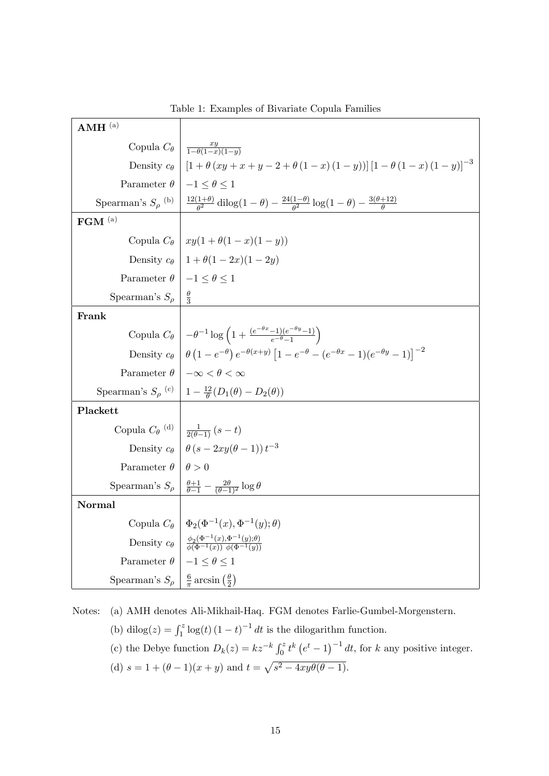| $AMH^{(a)}$                                                                   |                                                                                                                                                                            |
|-------------------------------------------------------------------------------|----------------------------------------------------------------------------------------------------------------------------------------------------------------------------|
|                                                                               | Copula $C_{\theta}$ $\frac{xy}{1-\theta(1-x)(1-y)}$                                                                                                                        |
|                                                                               | Density $c_{\theta}$   $[1 + \theta (xy + x + y - 2 + \theta (1 - x) (1 - y))] [1 - \theta (1 - x) (1 - y)]^{-3}$                                                          |
| Parameter $\theta$   $-1 \leq \theta \leq 1$                                  |                                                                                                                                                                            |
|                                                                               | Spearman's $S_\rho^{(b)} \left  \frac{12(1+\theta)}{\theta^2} \text{dilog}(1-\theta) - \frac{24(1-\theta)}{\theta^2} \log(1-\theta) - \frac{3(\theta+12)}{\theta} \right $ |
| $\mathbf{FGM}$ (a)                                                            |                                                                                                                                                                            |
|                                                                               | Copula $C_{\theta}$   $xy(1+\theta(1-x)(1-y))$                                                                                                                             |
|                                                                               | Density $c_{\theta}$   $1 + \theta(1 - 2x)(1 - 2y)$                                                                                                                        |
| Parameter $\theta$   $-1 \leq \theta \leq 1$                                  |                                                                                                                                                                            |
| Spearman's $S_{\rho}$                                                         | $\frac{\theta}{3}$                                                                                                                                                         |
| Frank                                                                         |                                                                                                                                                                            |
|                                                                               | Copula $C_{\theta}$ $\left(-\theta^{-1}\log\left(1+\frac{(e^{-\theta x}-1)(e^{-\theta y}-1)}{e^{-\theta}-1}\right)\right)$                                                 |
|                                                                               | Density $c_{\theta} \left[ \theta \left( 1 - e^{-\theta} \right) e^{-\theta(x+y)} \left[ 1 - e^{-\theta} - (e^{-\theta x} - 1)(e^{-\theta y} - 1) \right]^{-2} \right]$    |
|                                                                               | Parameter $\theta$   $-\infty < \theta < \infty$                                                                                                                           |
|                                                                               | Spearman's $S_\rho$ (c) $\left  1 - \frac{12}{\theta} (D_1(\theta) - D_2(\theta)) \right $                                                                                 |
| Plackett                                                                      |                                                                                                                                                                            |
| Copula $C_{\theta}$ <sup>(d)</sup> $\frac{1}{2(\theta-1)}$ (s - t)            |                                                                                                                                                                            |
|                                                                               | Density $c_{\theta} \mid \theta (s - 2xy(\theta - 1)) t^{-3}$                                                                                                              |
| Parameter $\theta   \theta > 0$                                               |                                                                                                                                                                            |
|                                                                               | Spearman's $S_\rho \left  \frac{\theta+1}{\theta-1} - \frac{2\theta}{(\theta-1)^2} \log \theta \right $                                                                    |
| Normal                                                                        |                                                                                                                                                                            |
|                                                                               | Copula $C_{\theta}   \Phi_2(\Phi^{-1}(x), \Phi^{-1}(y); \theta)$                                                                                                           |
|                                                                               | Density $c_{\theta} \left  \frac{\phi_2(\Phi^{-1}(x), \Phi^{-1}(y); \theta)}{\phi(\Phi^{-1}(x)) \phi(\Phi^{-1}(y))} \right $                                               |
| Parameter $\theta$   $-1 \leq \theta \leq 1$                                  |                                                                                                                                                                            |
| Spearman's $S_{\rho}$   $\frac{6}{\pi} \arcsin \left(\frac{\theta}{2}\right)$ |                                                                                                                                                                            |

Table 1: Examples of Bivariate Copula Families

Notes: (a) AMH denotes Ali-Mikhail-Haq. FGM denotes Farlie-Gumbel-Morgenstern.

(b) dilog(z) =  $\int_1^z \log(t) (1-t)^{-1} dt$  is the dilogarithm function.

- (c) the Debye function  $D_k(z) = kz^{-k} \int_0^z t^k (e^t 1)^{-1} dt$ , for k any positive integer.
- (d)  $s = 1 + (\theta 1)(x + y)$  and  $t = \sqrt{s^2 4xy\theta(\theta 1)}$ .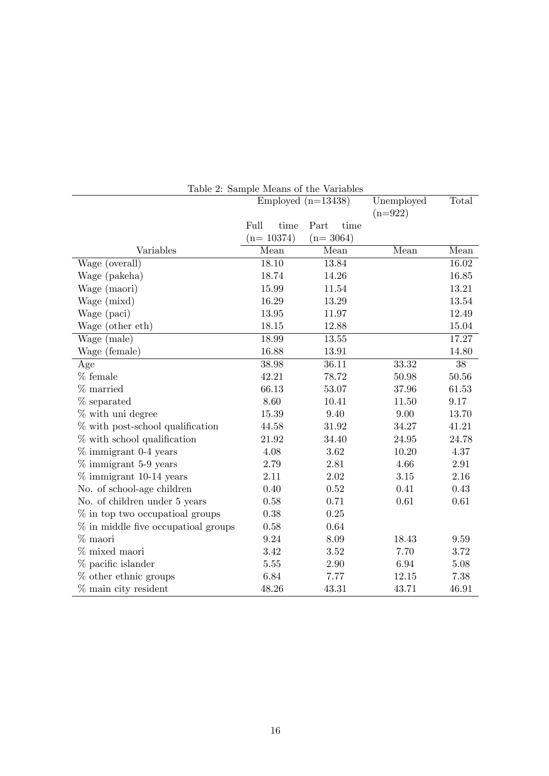|                                    | rapio 2. pampio modifica eno variables<br>Employed $(n=13438)$ |              | Unemployed<br>$(n=922)$ | Total |
|------------------------------------|----------------------------------------------------------------|--------------|-------------------------|-------|
|                                    | Full<br>time                                                   | Part<br>time |                         |       |
|                                    | $(n=10374)$                                                    | $(n=3064)$   |                         |       |
| Variables                          | Mean                                                           | Mean         | Mean                    | Mean  |
| Wage (overall)                     | 18.10                                                          | 13.84        |                         | 16.02 |
| Wage (pakeha)                      | 18.74                                                          | 14.26        |                         | 16.85 |
| Wage (maori)                       | 15.99                                                          | 11.54        |                         | 13.21 |
| Wage (mixd)                        | 16.29                                                          | 13.29        |                         | 13.54 |
| Wage (paci)                        | 13.95                                                          | 11.97        |                         | 12.49 |
| Wage (other eth)                   | 18.15                                                          | 12.88        |                         | 15.04 |
| Wage (male)                        | 18.99                                                          | 13.55        |                         | 17.27 |
| Wage (female)                      | 16.88                                                          | 13.91        |                         | 14.80 |
| Age                                | 38.98                                                          | 36.11        | 33.32                   | 38    |
| $%$ female                         | 42.21                                                          | 78.72        | 50.98                   | 50.56 |
| $%$ married                        | 66.13                                                          | 53.07        | 37.96                   | 61.53 |
| $%$ separated                      | 8.60                                                           | 10.41        | 11.50                   | 9.17  |
| % with uni degree                  | 15.39                                                          | 9.40         | 9.00                    | 13.70 |
| $%$ with post-school qualification | 44.58                                                          | 31.92        | 34.27                   | 41.21 |
| $%$ with school qualification      | 21.92                                                          | 34.40        | 24.95                   | 24.78 |
| $%$ immigrant 0-4 years            | 4.08                                                           | 3.62         | 10.20                   | 4.37  |
| $\%$ immigrant 5-9 years           | 2.79                                                           | 2.81         | 4.66                    | 2.91  |
| $\%$ immigrant 10-14 years         | 2.11                                                           | 2.02         | 3.15                    | 2.16  |
| No. of school-age children         | 0.40                                                           | 0.52         | 0.41                    | 0.43  |
| No. of children under 5 years      | 0.58                                                           | 0.71         | 0.61                    | 0.61  |
| $\%$ in top two occupations groups | 0.38                                                           | 0.25         |                         |       |
| % in middle five occupation groups | 0.58                                                           | 0.64         |                         |       |
| % maori                            | 9.24                                                           | 8.09         | 18.43                   | 9.59  |
| % mixed maori                      | 3.42                                                           | 3.52         | 7.70                    | 3.72  |
| $%$ pacific islander               | $5.55\,$                                                       | 2.90         | 6.94                    | 5.08  |
| $%$ other ethnic groups            | 6.84                                                           | 7.77         | 12.15                   | 7.38  |
| % main city resident               | 48.26                                                          | 43.31        | 43.71                   | 46.91 |

Table 2: Sample Means of the Variables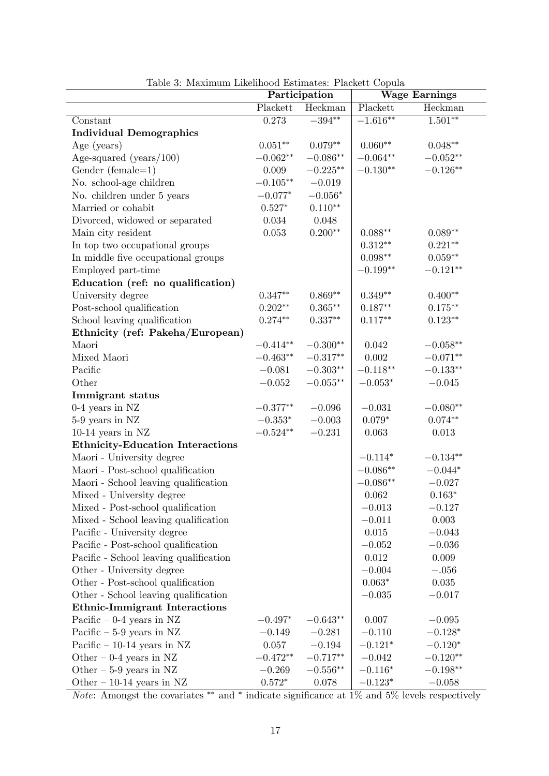|                                         | Participation |                    | <b>Wage Earnings</b> |                    |  |
|-----------------------------------------|---------------|--------------------|----------------------|--------------------|--|
|                                         | Plackett      | Heckman            | Plackett             | Heckman            |  |
| Constant                                | 0.273         | $-394**$           | $-1.616**$           | $1.501**$          |  |
| <b>Individual Demographics</b>          |               |                    |                      |                    |  |
| Age (years)                             | $0.051**$     | $0.079**$          | $0.060**$            | $0.048**$          |  |
| Age-squared (years/ $100$ )             | $-0.062**$    | $-0.086**$         | $-0.064**$           | $-0.052**$         |  |
| Gender (female= $1$ )                   | 0.009         | $-0.225**$         | $-0.130**$           | $-0.126**$         |  |
| No. school-age children                 | $-0.105**$    | $-0.019$           |                      |                    |  |
| No. children under 5 years              | $-0.077*$     | $-0.056*$          |                      |                    |  |
| Married or cohabit                      | $0.527*$      | $0.110**$          |                      |                    |  |
| Divorced, widowed or separated          | 0.034         | 0.048              |                      |                    |  |
| Main city resident                      | $0.053\,$     | $0.200**$          | $0.088**$            | $0.089**$          |  |
| In top two occupational groups          |               |                    | $0.312**$            | $0.221**$          |  |
| In middle five occupational groups      |               |                    | $0.098**$            | $0.059**$          |  |
| Employed part-time                      |               |                    | $-0.199**$           | $-0.121**$         |  |
| Education (ref: no qualification)       |               |                    |                      |                    |  |
| University degree                       | $0.347**$     | $0.869**$          | $0.349**$            | $0.400**$          |  |
| Post-school qualification               | $0.202**$     | $0.365^{\ast\ast}$ | $0.187**$            | $0.175^{\ast\ast}$ |  |
| School leaving qualification            | $0.274**$     | $0.337**$          | $0.117**$            | $0.123**$          |  |
| Ethnicity (ref: Pakeha/European)        |               |                    |                      |                    |  |
| Maori                                   | $-0.414**$    | $-0.300**$         | 0.042                | $-0.058**$         |  |
| Mixed Maori                             | $-0.463**$    | $-0.317**$         | 0.002                | $-0.071**$         |  |
| Pacific                                 | $-0.081$      | $-0.303**$         | $-0.118**$           | $-0.133**$         |  |
| Other                                   | $-0.052$      | $-0.055**$         | $-0.053*$            | $-0.045$           |  |
| Immigrant status                        |               |                    |                      |                    |  |
| 0-4 years in NZ                         | $-0.377**$    | $-0.096$           | $-0.031$             | $-0.080**$         |  |
| 5-9 years in NZ                         | $-0.353*$     | $-0.003$           | $0.079*$             | $0.074**$          |  |
| $10-14$ years in NZ                     | $-0.524**$    | $-0.231$           | 0.063                | 0.013              |  |
| <b>Ethnicity-Education Interactions</b> |               |                    |                      |                    |  |
| Maori - University degree               |               |                    | $-0.114*$            | $-0.134**$         |  |
| Maori - Post-school qualification       |               |                    | $-0.086**$           | $-0.044*$          |  |
| Maori - School leaving qualification    |               |                    | $-0.086**$           | $-0.027$           |  |
| Mixed - University degree               |               |                    | 0.062                | $0.163*$           |  |
| Mixed - Post-school qualification       |               |                    | $-0.013$             | $-0.127$           |  |
| Mixed - School leaving qualification    |               |                    | $-0.011$             | 0.003              |  |
| Pacific - University degree             |               |                    | 0.015                | $-0.043$           |  |
| Pacific - Post-school qualification     |               |                    | $-0.052$             | $-0.036$           |  |
| Pacific - School leaving qualification  |               |                    | 0.012                | 0.009              |  |
| Other - University degree               |               |                    | $-0.004$             | $-.056$            |  |
| Other - Post-school qualification       |               |                    | $0.063*$             | 0.035              |  |
| Other - School leaving qualification    |               |                    | $-0.035$             | $-0.017$           |  |
| <b>Ethnic-Immigrant Interactions</b>    |               |                    |                      |                    |  |
| Pacific $-0-4$ years in NZ              | $-0.497*$     | $-0.643**$         | 0.007                | $-0.095$           |  |
| Pacific $-5-9$ years in NZ              | $-0.149$      | $-0.281$           | $-0.110$             | $-0.128*$          |  |
| Pacific $-10-14$ years in NZ            | 0.057         | $-0.194$           | $-0.121*$            | $-0.120*$          |  |
| Other $-0.4$ years in NZ                | $-0.472**$    | $-0.717**$         | $-0.042$             | $-0.120**$         |  |
| Other $-5-9$ years in NZ                | $-0.269$      | $-0.556**$         | $-0.116*$            | $-0.198**$         |  |
| Other $-10-14$ years in NZ              | $0.572*$      | 0.078              | $-0.123*$            | $-0.058$           |  |

Table 3: Maximum Likelihood Estimates: Plackett Copula

*Note*: Amongst the covariates \*\* and \* indicate significance at  $1\%$  and  $5\%$  levels respectively